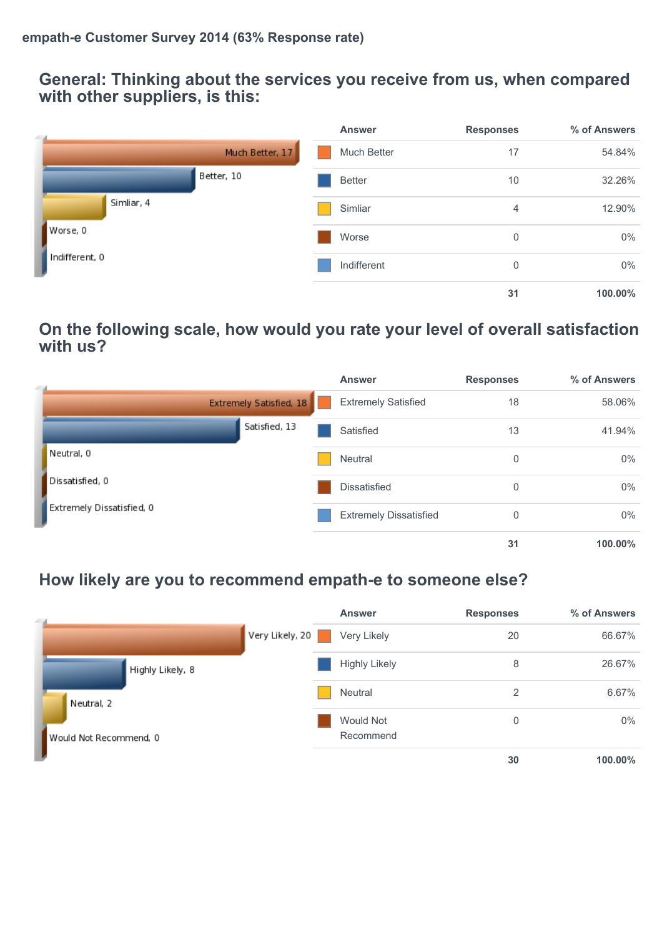#### **General: Thinking about the services you receive from us, when compared with other suppliers, is this:**

| $-4$           |                 | <b>Answer</b> | <b>Responses</b> | % of Answers |
|----------------|-----------------|---------------|------------------|--------------|
|                | Much Better, 17 | Much Better   | 17               | 54.84%       |
|                | Better, 10      | <b>Better</b> | 10               | 32.26%       |
| Simliar, 4     |                 | Simliar       | $\overline{4}$   | 12.90%       |
| Worse, 0       |                 | Worse         | 0                | $0\%$        |
| Indifferent, 0 |                 | Indifferent   | 0                | $0\%$        |
|                |                 |               | 31               | 100.00%      |

### **On the following scale, how would you rate your level of overall satisfaction with us?**

| - 1 |                           | <b>Answer</b>                 | <b>Responses</b> | % of Answers |
|-----|---------------------------|-------------------------------|------------------|--------------|
|     | Extremely Satisfied, 18   | <b>Extremely Satisfied</b>    | 18               | 58.06%       |
|     | Satisfied, 13             | Satisfied                     | 13               | 41.94%       |
|     | Neutral, 0                | <b>Neutral</b>                | 0                | $0\%$        |
|     | Dissatisfied, 0           | Dissatisfied                  | 0                | $0\%$        |
|     | Extremely Dissatisfied, 0 | <b>Extremely Dissatisfied</b> | 0                | $0\%$        |
|     |                           |                               | 31               | 100.00%      |

## **How likely are you to recommend empath-e to someone else?**

| $-4$                   |                 | <b>Answer</b>          | <b>Responses</b> | % of Answers |
|------------------------|-----------------|------------------------|------------------|--------------|
|                        | Very Likely, 20 | Very Likely            | 20               | 66.67%       |
| Highly Likely, 8       |                 | <b>Highly Likely</b>   | 8                | 26.67%       |
| Neutral, 2             |                 | Neutral                | 2                | 6.67%        |
| Would Not Recommend, 0 |                 | Would Not<br>Recommend | $\Omega$         | $0\%$        |
|                        |                 |                        | 30               | 100.00%      |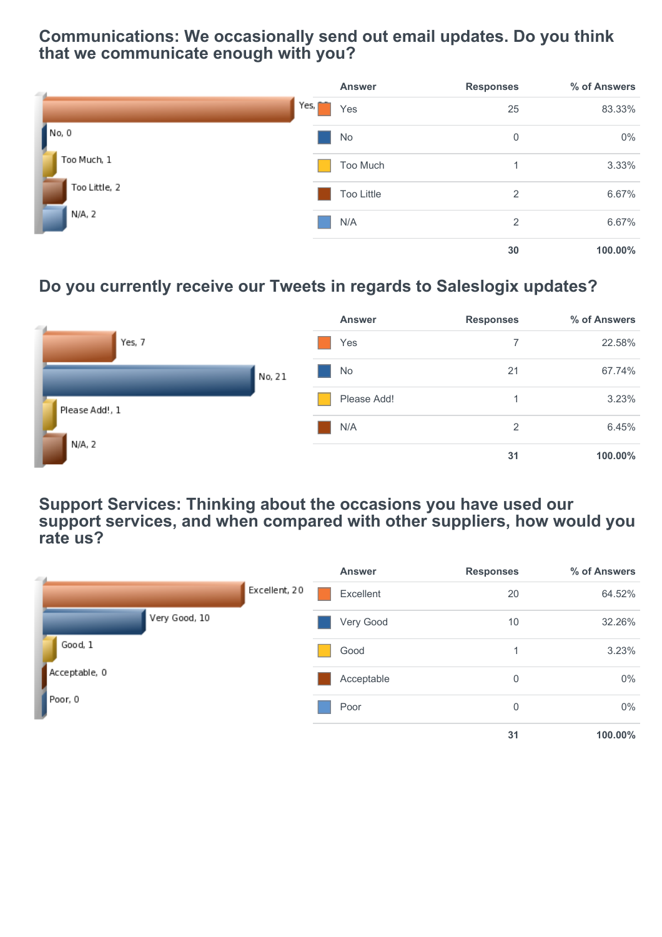### **Communications: We occasionally send out email updates. Do you think that we communicate enough with you?**

| $-4$                 |      | <b>Answer</b> | <b>Responses</b> | % of Answers |
|----------------------|------|---------------|------------------|--------------|
|                      | Yes, | Yes           | 25               | 83.33%       |
| No, 0<br>Too Much, 1 |      | No            | 0                | $0\%$        |
|                      |      | Too Much      | 1                | 3.33%        |
| Too Little, 2        |      | Too Little    | 2                | 6.67%        |
| N/A, 2               |      | N/A           | 2                | 6.67%        |
|                      |      |               | 30               | 100.00%      |

# **Do you currently receive our Tweets in regards to Saleslogix updates?**

| $-4$           |        | <b>Answer</b> | <b>Responses</b> | % of Answers |
|----------------|--------|---------------|------------------|--------------|
| Yes, 7         |        | Yes           |                  | 22.58%       |
| Please Add!, 1 | No, 21 | No            | 21               | 67.74%       |
|                |        | Please Add!   |                  | 3.23%        |
|                |        | N/A           | $\overline{2}$   | 6.45%        |
| N/A, 2         |        |               | 31               | 100.00%      |

**Support Services: Thinking about the occasions you have used our support services, and when compared with other suppliers, how would you rate us?**

| $-4$          |               |               | <b>Answer</b> | <b>Responses</b> | % of Answers |
|---------------|---------------|---------------|---------------|------------------|--------------|
|               |               | Excellent, 20 | Excellent     | 20               | 64.52%       |
|               | Very Good, 10 |               | Very Good     | 10               | 32.26%       |
| Good, 1       |               |               | Good          |                  | 3.23%        |
| Acceptable, 0 |               |               | Acceptable    | $\mathbf 0$      | $0\%$        |
| Poor, 0       |               |               | Poor          | 0                | $0\%$        |
|               |               |               |               | 31               | 100.00%      |